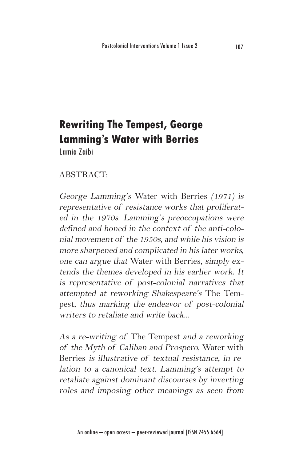# **Rewriting The Tempest, George Lamming's Water with Berries**

Lamia Zaibi

### ABSTRACT:

George Lamming's Water with Berries (1971) is representative of resistance works that proliferated in the 1970s. Lamming's preoccupations were defined and honed in the context of the anti-colonial movement of the 1950s, and while his vision is more sharpened and complicated in his later works, one can argue that Water with Berries, simply extends the themes developed in his earlier work. It is representative of post-colonial narratives that attempted at reworking Shakespeare's The Tempest, thus marking the endeavor of post-colonial writers to retaliate and write back...

As a re-writing of The Tempest and a reworking of the Myth of Caliban and Prospero, Water with Berries is illustrative of textual resistance, in relation to a canonical text. Lamming's attempt to retaliate against dominant discourses by inverting roles and imposing other meanings as seen from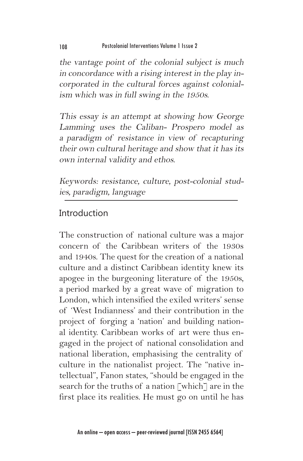the vantage point of the colonial subject is much in concordance with a rising interest in the play incorporated in the cultural forces against colonialism which was in full swing in the 1950s.

This essay is an attempt at showing how George Lamming uses the Caliban- Prospero model as a paradigm of resistance in view of recapturing their own cultural heritage and show that it has its own internal validity and ethos.

Keywords: resistance, culture, post-colonial studies, paradigm, language

## Introduction

The construction of national culture was a major concern of the Caribbean writers of the 1930s and 1940s. The quest for the creation of a national culture and a distinct Caribbean identity knew its apogee in the burgeoning literature of the 1950s, a period marked by a great wave of migration to London, which intensified the exiled writers' sense of 'West Indianness' and their contribution in the project of forging a 'nation' and building national identity. Caribbean works of art were thus engaged in the project of national consolidation and national liberation, emphasising the centrality of culture in the nationalist project. The "native intellectual", Fanon states, "should be engaged in the search for the truths of a nation [which] are in the first place its realities. He must go on until he has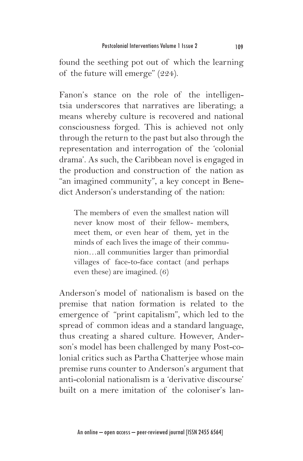found the seething pot out of which the learning of the future will emerge" (224).

Fanon's stance on the role of the intelligentsia underscores that narratives are liberating; a means whereby culture is recovered and national consciousness forged. This is achieved not only through the return to the past but also through the representation and interrogation of the 'colonial drama'. As such, the Caribbean novel is engaged in the production and construction of the nation as "an imagined community", a key concept in Benedict Anderson's understanding of the nation:

The members of even the smallest nation will never know most of their fellow- members, meet them, or even hear of them, yet in the minds of each lives the image of their communion…all communities larger than primordial villages of face-to-face contact (and perhaps even these) are imagined. (6)

Anderson's model of nationalism is based on the premise that nation formation is related to the emergence of "print capitalism", which led to the spread of common ideas and a standard language, thus creating a shared culture. However, Anderson's model has been challenged by many Post-colonial critics such as Partha Chatterjee whose main premise runs counter to Anderson's argument that anti-colonial nationalism is a 'derivative discourse' built on a mere imitation of the coloniser's lan-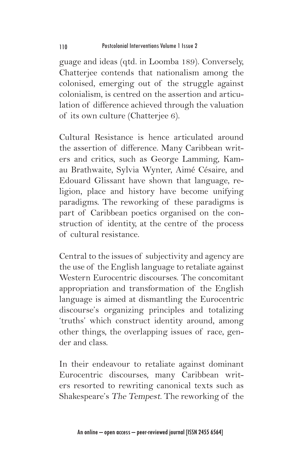guage and ideas (qtd. in Loomba 189). Conversely, Chatterjee contends that nationalism among the colonised, emerging out of the struggle against colonialism, is centred on the assertion and articulation of difference achieved through the valuation of its own culture (Chatterjee 6).

Cultural Resistance is hence articulated around the assertion of difference. Many Caribbean writers and critics, such as George Lamming, Kamau Brathwaite, Sylvia Wynter, Aimé Césaire, and Edouard Glissant have shown that language, religion, place and history have become unifying paradigms. The reworking of these paradigms is part of Caribbean poetics organised on the construction of identity, at the centre of the process of cultural resistance.

Central to the issues of subjectivity and agency are the use of the English language to retaliate against Western Eurocentric discourses. The concomitant appropriation and transformation of the English language is aimed at dismantling the Eurocentric discourse's organizing principles and totalizing 'truths' which construct identity around, among other things, the overlapping issues of race, gender and class.

In their endeavour to retaliate against dominant Eurocentric discourses, many Caribbean writers resorted to rewriting canonical texts such as Shakespeare's The Tempest. The reworking of the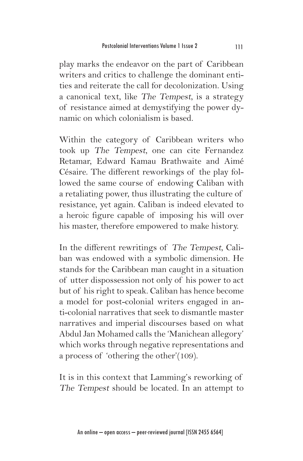play marks the endeavor on the part of Caribbean writers and critics to challenge the dominant entities and reiterate the call for decolonization. Using a canonical text, like The Tempest, is a strategy of resistance aimed at demystifying the power dynamic on which colonialism is based.

Within the category of Caribbean writers who took up The Tempest, one can cite Fernandez Retamar, Edward Kamau Brathwaite and Aimé Césaire. The different reworkings of the play followed the same course of endowing Caliban with a retaliating power, thus illustrating the culture of resistance, yet again. Caliban is indeed elevated to a heroic figure capable of imposing his will over his master, therefore empowered to make history.

In the different rewritings of The Tempest, Caliban was endowed with a symbolic dimension. He stands for the Caribbean man caught in a situation of utter dispossession not only of his power to act but of his right to speak. Caliban has hence become a model for post-colonial writers engaged in anti-colonial narratives that seek to dismantle master narratives and imperial discourses based on what Abdul Jan Mohamed calls the 'Manichean allegory' which works through negative representations and a process of 'othering the other'(109).

It is in this context that Lamming's reworking of The Tempest should be located. In an attempt to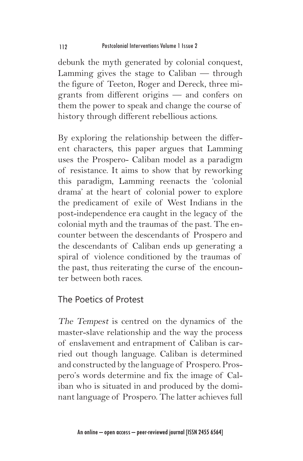debunk the myth generated by colonial conquest, Lamming gives the stage to Caliban — through the figure of Teeton, Roger and Dereck, three migrants from different origins — and confers on them the power to speak and change the course of history through different rebellious actions.

By exploring the relationship between the different characters, this paper argues that Lamming uses the Prospero- Caliban model as a paradigm of resistance. It aims to show that by reworking this paradigm, Lamming reenacts the 'colonial drama' at the heart of colonial power to explore the predicament of exile of West Indians in the post-independence era caught in the legacy of the colonial myth and the traumas of the past. The encounter between the descendants of Prospero and the descendants of Caliban ends up generating a spiral of violence conditioned by the traumas of the past, thus reiterating the curse of the encounter between both races.

#### The Poetics of Protest

The Tempest is centred on the dynamics of the master-slave relationship and the way the process of enslavement and entrapment of Caliban is carried out though language. Caliban is determined and constructed by the language of Prospero. Prospero's words determine and fix the image of Caliban who is situated in and produced by the dominant language of Prospero. The latter achieves full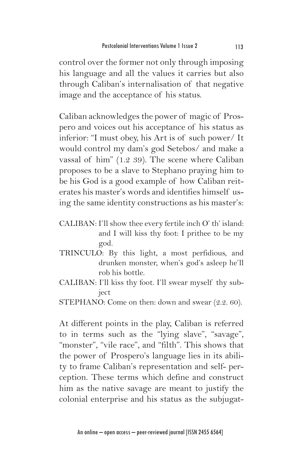control over the former not only through imposing his language and all the values it carries but also through Caliban's internalisation of that negative image and the acceptance of his status.

Caliban acknowledges the power of magic of Prospero and voices out his acceptance of his status as inferior: "I must obey, his Art is of such power/ It would control my dam's god Setebos/ and make a vassal of him" (1.2 39). The scene where Caliban proposes to be a slave to Stephano praying him to be his God is a good example of how Caliban reiterates his master's words and identifies himself using the same identity constructions as his master's:

- CALIBAN: I'll show thee every fertile inch O' th' island: and I will kiss thy foot: I prithee to be my god.
- TRINCULO: By this light, a most perfidious, and drunken monster, when's god's asleep he'll rob his bottle.
- CALIBAN: I'll kiss thy foot. I'll swear myself thy subject

At different points in the play, Caliban is referred to in terms such as the "lying slave", "savage", "monster", "vile race", and "filth". This shows that the power of Prospero's language lies in its ability to frame Caliban's representation and self- perception. These terms which define and construct him as the native savage are meant to justify the colonial enterprise and his status as the subjugat-

STEPHANO: Come on then: down and swear (2.2. 60).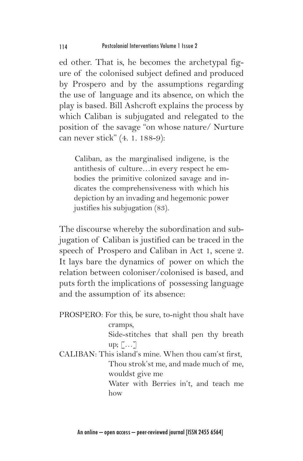ed other. That is, he becomes the archetypal figure of the colonised subject defined and produced by Prospero and by the assumptions regarding the use of language and its absence, on which the play is based. Bill Ashcroft explains the process by which Caliban is subjugated and relegated to the position of the savage "on whose nature/ Nurture can never stick" (4. 1. 188-9):

Caliban, as the marginalised indigene, is the antithesis of culture…in every respect he embodies the primitive colonized savage and indicates the comprehensiveness with which his depiction by an invading and hegemonic power justifies his subjugation (83).

The discourse whereby the subordination and subjugation of Caliban is justified can be traced in the speech of Prospero and Caliban in Act 1, scene 2. It lays bare the dynamics of power on which the relation between coloniser/colonised is based, and puts forth the implications of possessing language and the assumption of its absence:

PROSPERO: For this, be sure, to-night thou shalt have cramps, Side-stitches that shall pen thy breath up; […] CALIBAN: This island's mine. When thou cam'st first, Thou strok'st me, and made much of me, wouldst give me Water with Berries in't, and teach me how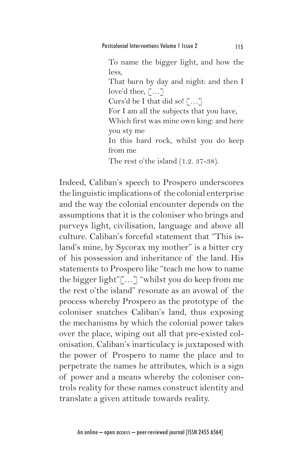To name the bigger light, and how the less, That burn by day and night: and then I love'd thee,  $\lceil \dots \rceil$ Curs'd be I that did so! […] For I am all the subjects that you have, Which first was mine own king: and here you sty me In this hard rock, whilst you do keep from me The rest o'the island (1.2. 37-38).

Indeed, Caliban's speech to Prospero underscores the linguistic implications of the colonial enterprise and the way the colonial encounter depends on the assumptions that it is the coloniser who brings and purveys light, civilisation, language and above all culture. Caliban's forceful statement that "This island's mine, by Sycorax my mother" is a bitter cry of his possession and inheritance of the land. His statements to Prospero like "teach me how to name the bigger light"[…] "whilst you do keep from me the rest o'the island" resonate as an avowal of the process whereby Prospero as the prototype of the coloniser snatches Caliban's land, thus exposing the mechanisms by which the colonial power takes over the place, wiping out all that pre-existed colonisation. Caliban's inarticulacy is juxtaposed with the power of Prospero to name the place and to perpetrate the names he attributes, which is a sign of power and a means whereby the coloniser controls reality for these names construct identity and translate a given attitude towards reality.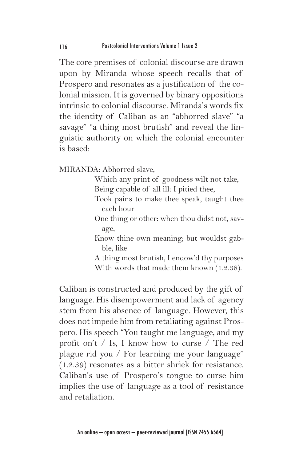The core premises of colonial discourse are drawn upon by Miranda whose speech recalls that of Prospero and resonates as a justification of the colonial mission. It is governed by binary oppositions intrinsic to colonial discourse. Miranda's words fix the identity of Caliban as an "abhorred slave" "a savage" "a thing most brutish" and reveal the linguistic authority on which the colonial encounter is based:

MIRANDA: Abhorred slave,

Which any print of goodness wilt not take, Being capable of all ill: I pitied thee,

- Took pains to make thee speak, taught thee each hour
- One thing or other: when thou didst not, savage,

Know thine own meaning; but wouldst gabble, like

A thing most brutish, I endow'd thy purposes With words that made them known (1.2.38).

Caliban is constructed and produced by the gift of language. His disempowerment and lack of agency stem from his absence of language. However, this does not impede him from retaliating against Prospero. His speech "You taught me language, and my profit on't / Is, I know how to curse / The red plague rid you / For learning me your language" (1.2.39) resonates as a bitter shriek for resistance. Caliban's use of Prospero's tongue to curse him implies the use of language as a tool of resistance and retaliation.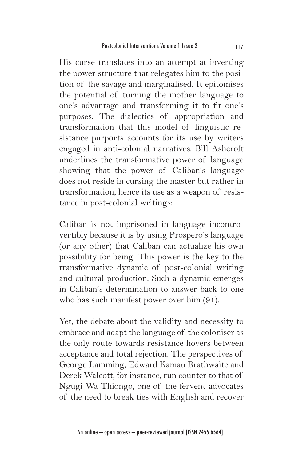His curse translates into an attempt at inverting the power structure that relegates him to the position of the savage and marginalised. It epitomises the potential of turning the mother language to one's advantage and transforming it to fit one's purposes. The dialectics of appropriation and transformation that this model of linguistic resistance purports accounts for its use by writers engaged in anti-colonial narratives. Bill Ashcroft underlines the transformative power of language showing that the power of Caliban's language does not reside in cursing the master but rather in transformation, hence its use as a weapon of resistance in post-colonial writings:

Caliban is not imprisoned in language incontrovertibly because it is by using Prospero's language (or any other) that Caliban can actualize his own possibility for being. This power is the key to the transformative dynamic of post-colonial writing and cultural production. Such a dynamic emerges in Caliban's determination to answer back to one who has such manifest power over him (91).

Yet, the debate about the validity and necessity to embrace and adapt the language of the coloniser as the only route towards resistance hovers between acceptance and total rejection. The perspectives of George Lamming, Edward Kamau Brathwaite and Derek Walcott, for instance, run counter to that of Ngugi Wa Thiongo, one of the fervent advocates of the need to break ties with English and recover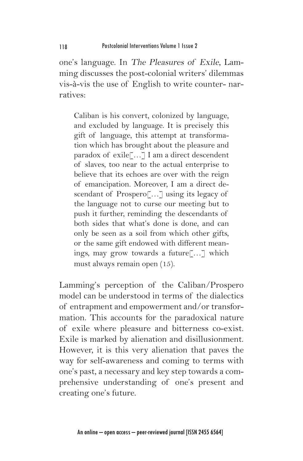one's language. In The Pleasures of Exile, Lamming discusses the post-colonial writers' dilemmas vis-à-vis the use of English to write counter- narratives:

Caliban is his convert, colonized by language, and excluded by language. It is precisely this gift of language, this attempt at transformation which has brought about the pleasure and paradox of exile[…] I am a direct descendent of slaves, too near to the actual enterprise to believe that its echoes are over with the reign of emancipation. Moreover, I am a direct descendant of Prospero[…] using its legacy of the language not to curse our meeting but to push it further, reminding the descendants of both sides that what's done is done, and can only be seen as a soil from which other gifts, or the same gift endowed with different meanings, may grow towards a future[…] which must always remain open (15).

Lamming's perception of the Caliban/Prospero model can be understood in terms of the dialectics of entrapment and empowerment and/or transformation. This accounts for the paradoxical nature of exile where pleasure and bitterness co-exist. Exile is marked by alienation and disillusionment. However, it is this very alienation that paves the way for self-awareness and coming to terms with one's past, a necessary and key step towards a comprehensive understanding of one's present and creating one's future.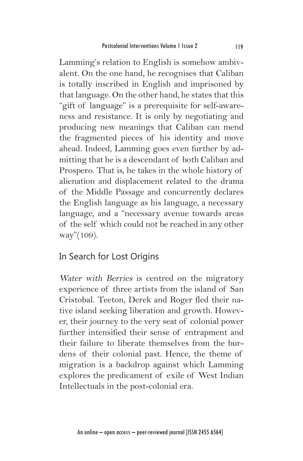Lamming's relation to English is somehow ambivalent. On the one hand, he recognises that Caliban is totally inscribed in English and imprisoned by that language. On the other hand, he states that this "gift of language" is a prerequisite for self-awareness and resistance. It is only by negotiating and producing new meanings that Caliban can mend the fragmented pieces of his identity and move ahead. Indeed, Lamming goes even further by admitting that he is a descendant of both Caliban and Prospero. That is, he takes in the whole history of alienation and displacement related to the drama of the Middle Passage and concurrently declares the English language as his language, a necessary language, and a "necessary avenue towards areas of the self which could not be reached in any other way"(109).

### In Search for Lost Origins

Water with Berries is centred on the migratory experience of three artists from the island of San Cristobal. Teeton, Derek and Roger fled their native island seeking liberation and growth. However, their journey to the very seat of colonial power further intensified their sense of entrapment and their failure to liberate themselves from the burdens of their colonial past. Hence, the theme of migration is a backdrop against which Lamming explores the predicament of exile of West Indian Intellectuals in the post-colonial era.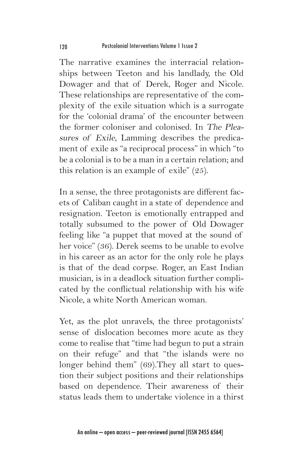The narrative examines the interracial relationships between Teeton and his landlady, the Old Dowager and that of Derek, Roger and Nicole. These relationships are representative of the complexity of the exile situation which is a surrogate for the 'colonial drama' of the encounter between the former coloniser and colonised. In The Pleasures of Exile, Lamming describes the predicament of exile as "a reciprocal process" in which "to be a colonial is to be a man in a certain relation; and this relation is an example of exile" (25).

In a sense, the three protagonists are different facets of Caliban caught in a state of dependence and resignation. Teeton is emotionally entrapped and totally subsumed to the power of Old Dowager feeling like "a puppet that moved at the sound of her voice" (36). Derek seems to be unable to evolve in his career as an actor for the only role he plays is that of the dead corpse. Roger, an East Indian musician, is in a deadlock situation further complicated by the conflictual relationship with his wife Nicole, a white North American woman.

Yet, as the plot unravels, the three protagonists' sense of dislocation becomes more acute as they come to realise that "time had begun to put a strain on their refuge" and that "the islands were no longer behind them" (69).They all start to question their subject positions and their relationships based on dependence. Their awareness of their status leads them to undertake violence in a thirst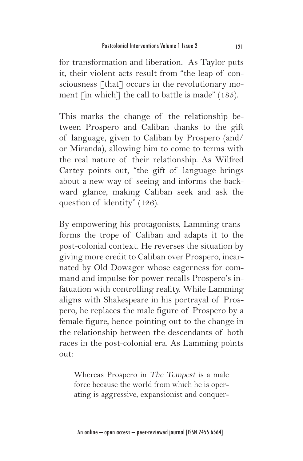for transformation and liberation. As Taylor puts it, their violent acts result from "the leap of consciousness [that] occurs in the revolutionary moment  $\lceil$  in which $\lceil$  the call to battle is made" (185).

This marks the change of the relationship between Prospero and Caliban thanks to the gift of language, given to Caliban by Prospero (and/ or Miranda), allowing him to come to terms with the real nature of their relationship. As Wilfred Cartey points out, "the gift of language brings about a new way of seeing and informs the backward glance, making Caliban seek and ask the question of identity" (126).

By empowering his protagonists, Lamming transforms the trope of Caliban and adapts it to the post-colonial context. He reverses the situation by giving more credit to Caliban over Prospero, incarnated by Old Dowager whose eagerness for command and impulse for power recalls Prospero's infatuation with controlling reality. While Lamming aligns with Shakespeare in his portrayal of Prospero, he replaces the male figure of Prospero by a female figure, hence pointing out to the change in the relationship between the descendants of both races in the post-colonial era. As Lamming points out:

Whereas Prospero in The Tempest is a male force because the world from which he is operating is aggressive, expansionist and conquer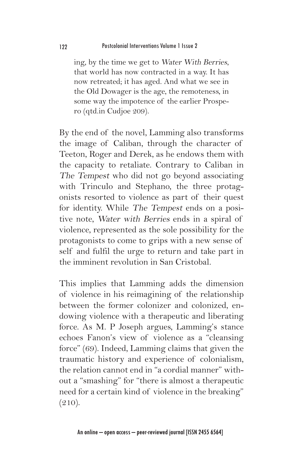ing, by the time we get to Water With Berries, that world has now contracted in a way. It has now retreated; it has aged. And what we see in the Old Dowager is the age, the remoteness, in some way the impotence of the earlier Prospero (qtd.in Cudjoe 209).

By the end of the novel, Lamming also transforms the image of Caliban, through the character of Teeton, Roger and Derek, as he endows them with the capacity to retaliate. Contrary to Caliban in The Tempest who did not go beyond associating with Trinculo and Stephano, the three protagonists resorted to violence as part of their quest for identity. While The Tempest ends on a positive note, Water with Berries ends in a spiral of violence, represented as the sole possibility for the protagonists to come to grips with a new sense of self and fulfil the urge to return and take part in the imminent revolution in San Cristobal.

This implies that Lamming adds the dimension of violence in his reimagining of the relationship between the former colonizer and colonized, endowing violence with a therapeutic and liberating force. As M. P Joseph argues, Lamming's stance echoes Fanon's view of violence as a "cleansing force" (69). Indeed, Lamming claims that given the traumatic history and experience of colonialism, the relation cannot end in "a cordial manner" without a "smashing" for "there is almost a therapeutic need for a certain kind of violence in the breaking"  $(210).$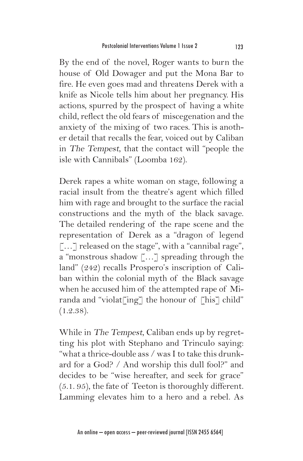By the end of the novel, Roger wants to burn the house of Old Dowager and put the Mona Bar to fire. He even goes mad and threatens Derek with a knife as Nicole tells him about her pregnancy. His actions, spurred by the prospect of having a white child, reflect the old fears of miscegenation and the anxiety of the mixing of two races. This is another detail that recalls the fear, voiced out by Caliban in The Tempest, that the contact will "people the isle with Cannibals" (Loomba 162).

Derek rapes a white woman on stage, following a racial insult from the theatre's agent which filled him with rage and brought to the surface the racial constructions and the myth of the black savage. The detailed rendering of the rape scene and the representation of Derek as a "dragon of legend [...] released on the stage", with a "cannibal rage", a "monstrous shadow […] spreading through the land" (242) recalls Prospero's inscription of Caliban within the colonial myth of the Black savage when he accused him of the attempted rape of Miranda and "violat $\lceil \text{ing} \rceil$  the honour of  $\lceil \text{his} \rceil$  child" (1.2.38).

While in The Tempest, Caliban ends up by regretting his plot with Stephano and Trinculo saying: "what a thrice-double ass / was I to take this drunkard for a God? / And worship this dull fool?" and decides to be "wise hereafter, and seek for grace" (5.1. 95), the fate of Teeton is thoroughly different. Lamming elevates him to a hero and a rebel. As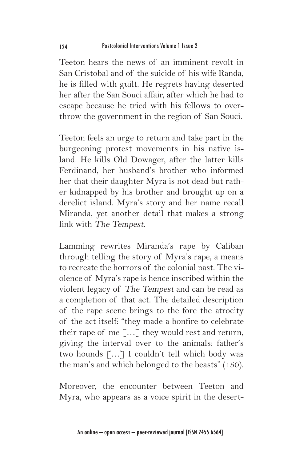Teeton hears the news of an imminent revolt in San Cristobal and of the suicide of his wife Randa, he is filled with guilt. He regrets having deserted her after the San Souci affair, after which he had to escape because he tried with his fellows to overthrow the government in the region of San Souci.

Teeton feels an urge to return and take part in the burgeoning protest movements in his native island. He kills Old Dowager, after the latter kills Ferdinand, her husband's brother who informed her that their daughter Myra is not dead but rather kidnapped by his brother and brought up on a derelict island. Myra's story and her name recall Miranda, yet another detail that makes a strong link with The Tempest.

Lamming rewrites Miranda's rape by Caliban through telling the story of Myra's rape, a means to recreate the horrors of the colonial past. The violence of Myra's rape is hence inscribed within the violent legacy of The Tempest and can be read as a completion of that act. The detailed description of the rape scene brings to the fore the atrocity of the act itself: "they made a bonfire to celebrate their rape of me  $\lceil \dots \rceil$  they would rest and return, giving the interval over to the animals: father's two hounds […] I couldn't tell which body was the man's and which belonged to the beasts" (150).

Moreover, the encounter between Teeton and Myra, who appears as a voice spirit in the desert-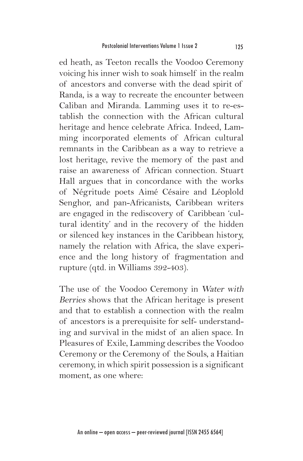ed heath, as Teeton recalls the Voodoo Ceremony voicing his inner wish to soak himself in the realm of ancestors and converse with the dead spirit of Randa, is a way to recreate the encounter between Caliban and Miranda. Lamming uses it to re-establish the connection with the African cultural heritage and hence celebrate Africa. Indeed, Lamming incorporated elements of African cultural remnants in the Caribbean as a way to retrieve a lost heritage, revive the memory of the past and raise an awareness of African connection. Stuart Hall argues that in concordance with the works of Négritude poets Aimé Césaire and Léoplold Senghor, and pan-Africanists, Caribbean writers are engaged in the rediscovery of Caribbean 'cultural identity' and in the recovery of the hidden or silenced key instances in the Caribbean history, namely the relation with Africa, the slave experience and the long history of fragmentation and rupture (qtd. in Williams 392-403).

The use of the Voodoo Ceremony in Water with Berries shows that the African heritage is present and that to establish a connection with the realm of ancestors is a prerequisite for self- understanding and survival in the midst of an alien space. In Pleasures of Exile, Lamming describes the Voodoo Ceremony or the Ceremony of the Souls, a Haitian ceremony, in which spirit possession is a significant moment, as one where: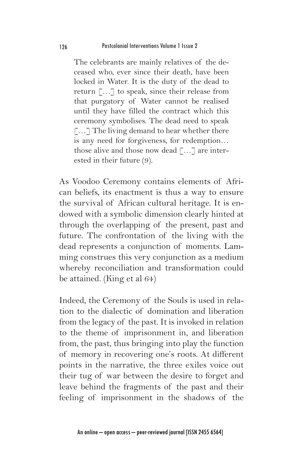The celebrants are mainly relatives of the deceased who, ever since their death, have been locked in Water. It is the duty of the dead to return […] to speak, since their release from that purgatory of Water cannot be realised until they have filled the contract which this ceremony symbolises. The dead need to speak […] The living demand to hear whether there is any need for forgiveness, for redemption… those alive and those now dead […] are interested in their future (9).

As Voodoo Ceremony contains elements of African beliefs, its enactment is thus a way to ensure the survival of African cultural heritage. It is endowed with a symbolic dimension clearly hinted at through the overlapping of the present, past and future. The confrontation of the living with the dead represents a conjunction of moments. Lamming construes this very conjunction as a medium whereby reconciliation and transformation could be attained. (King et al 64)

Indeed, the Ceremony of the Souls is used in relation to the dialectic of domination and liberation from the legacy of the past. It is invoked in relation to the theme of imprisonment in, and liberation from, the past, thus bringing into play the function of memory in recovering one's roots. At different points in the narrative, the three exiles voice out their tug of war between the desire to forget and leave behind the fragments of the past and their feeling of imprisonment in the shadows of the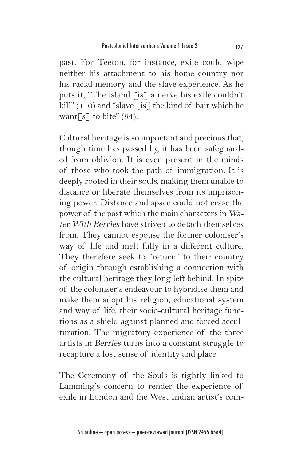past. For Teeton, for instance, exile could wipe neither his attachment to his home country nor his racial memory and the slave experience. As he puts it, "The island [is] a nerve his exile couldn't kill"  $(110)$  and "slave [is] the kind of bait which he want $\lceil s \rceil$  to bite" (94).

Cultural heritage is so important and precious that, though time has passed by, it has been safeguarded from oblivion. It is even present in the minds of those who took the path of immigration. It is deeply rooted in their souls, making them unable to distance or liberate themselves from its imprisoning power. Distance and space could not erase the power of the past which the main characters in Water With Berries have striven to detach themselves from. They cannot espouse the former coloniser's way of life and melt fully in a different culture. They therefore seek to "return" to their country of origin through establishing a connection with the cultural heritage they long left behind. In spite of the coloniser's endeavour to hybridise them and make them adopt his religion, educational system and way of life, their socio-cultural heritage functions as a shield against planned and forced acculturation. The migratory experience of the three artists in Berries turns into a constant struggle to recapture a lost sense of identity and place.

The Ceremony of the Souls is tightly linked to Lamming's concern to render the experience of exile in London and the West Indian artist's com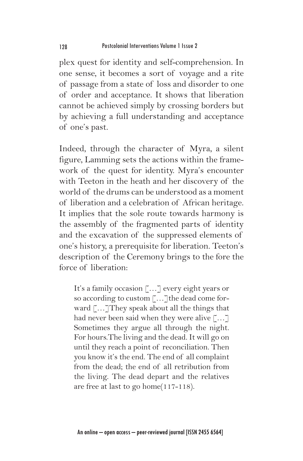plex quest for identity and self-comprehension. In one sense, it becomes a sort of voyage and a rite of passage from a state of loss and disorder to one of order and acceptance. It shows that liberation cannot be achieved simply by crossing borders but by achieving a full understanding and acceptance of one's past.

Indeed, through the character of Myra, a silent figure, Lamming sets the actions within the framework of the quest for identity. Myra's encounter with Teeton in the heath and her discovery of the world of the drums can be understood as a moment of liberation and a celebration of African heritage. It implies that the sole route towards harmony is the assembly of the fragmented parts of identity and the excavation of the suppressed elements of one's history, a prerequisite for liberation. Teeton's description of the Ceremony brings to the fore the force of liberation:

It's a family occasion [...] every eight years or so according to custom  $\lceil \dots \rceil$ the dead come forward [...] They speak about all the things that had never been said when they were alive […] Sometimes they argue all through the night. For hours.The living and the dead. It will go on until they reach a point of reconciliation. Then you know it's the end. The end of all complaint from the dead; the end of all retribution from the living. The dead depart and the relatives are free at last to go home(117-118).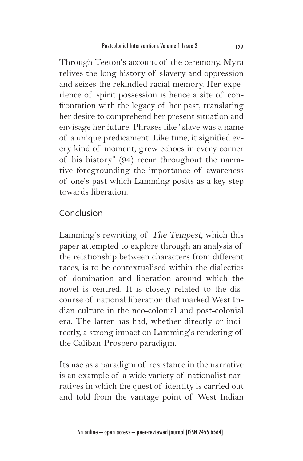Through Teeton's account of the ceremony, Myra relives the long history of slavery and oppression and seizes the rekindled racial memory. Her experience of spirit possession is hence a site of confrontation with the legacy of her past, translating her desire to comprehend her present situation and envisage her future. Phrases like "slave was a name of a unique predicament. Like time, it signified every kind of moment, grew echoes in every corner of his history" (94) recur throughout the narrative foregrounding the importance of awareness of one's past which Lamming posits as a key step towards liberation.

# Conclusion

Lamming's rewriting of The Tempest, which this paper attempted to explore through an analysis of the relationship between characters from different races, is to be contextualised within the dialectics of domination and liberation around which the novel is centred. It is closely related to the discourse of national liberation that marked West Indian culture in the neo-colonial and post-colonial era. The latter has had, whether directly or indirectly, a strong impact on Lamming's rendering of the Caliban-Prospero paradigm.

Its use as a paradigm of resistance in the narrative is an example of a wide variety of nationalist narratives in which the quest of identity is carried out and told from the vantage point of West Indian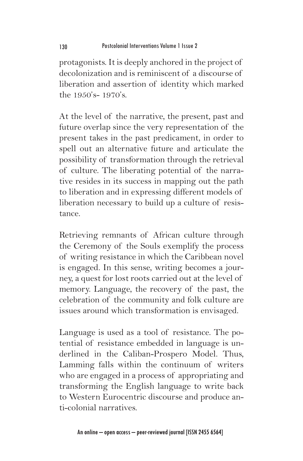protagonists. It is deeply anchored in the project of decolonization and is reminiscent of a discourse of liberation and assertion of identity which marked the 1950's- 1970's.

At the level of the narrative, the present, past and future overlap since the very representation of the present takes in the past predicament, in order to spell out an alternative future and articulate the possibility of transformation through the retrieval of culture. The liberating potential of the narrative resides in its success in mapping out the path to liberation and in expressing different models of liberation necessary to build up a culture of resistance.

Retrieving remnants of African culture through the Ceremony of the Souls exemplify the process of writing resistance in which the Caribbean novel is engaged. In this sense, writing becomes a journey, a quest for lost roots carried out at the level of memory. Language, the recovery of the past, the celebration of the community and folk culture are issues around which transformation is envisaged.

Language is used as a tool of resistance. The potential of resistance embedded in language is underlined in the Caliban-Prospero Model. Thus, Lamming falls within the continuum of writers who are engaged in a process of appropriating and transforming the English language to write back to Western Eurocentric discourse and produce anti-colonial narratives.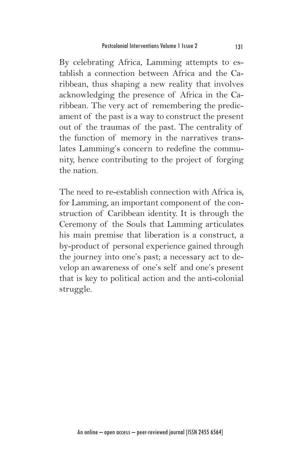By celebrating Africa, Lamming attempts to establish a connection between Africa and the Caribbean, thus shaping a new reality that involves acknowledging the presence of Africa in the Caribbean. The very act of remembering the predicament of the past is a way to construct the present out of the traumas of the past. The centrality of the function of memory in the narratives translates Lamming's concern to redefine the community, hence contributing to the project of forging the nation.

The need to re-establish connection with Africa is, for Lamming, an important component of the construction of Caribbean identity. It is through the Ceremony of the Souls that Lamming articulates his main premise that liberation is a construct, a by-product of personal experience gained through the journey into one's past; a necessary act to develop an awareness of one's self and one's present that is key to political action and the anti-colonial struggle.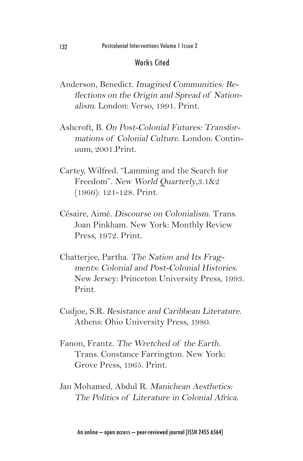#### Works Cited

- Anderson, Benedict. Imagined Communities: Reflections on the Origin and Spread of Nationalism. London: Verso, 1991. Print.
- Ashcroft, B. On Post-Colonial Futures: Transformations of Colonial Culture. London: Continuum, 2001.Print.
- Cartey, Wilfred. "Lamming and the Search for Freedom". New World Quarterly,3.1&2 (1966): 121-128. Print.
- Césaire, Aimé. Discourse on Colonialism. Trans. Joan Pinkham. New York: Monthly Review Press, 1979. Print.
- Chatterjee, Partha. The Nation and Its Fragments: Colonial and Post-Colonial Histories. New Jersey: Princeton University Press, 1993. Print.
- Cudjoe, S.R. Resistance and Caribbean Literature. Athens: Ohio University Press, 1980.
- Fanon, Frantz. The Wretched of the Earth. Trans. Constance Farrington. New York: Grove Press, 1965. Print.
- Jan Mohamed, Abdul R. Manichean Aesthetics: The Politics of Literature in Colonial Africa.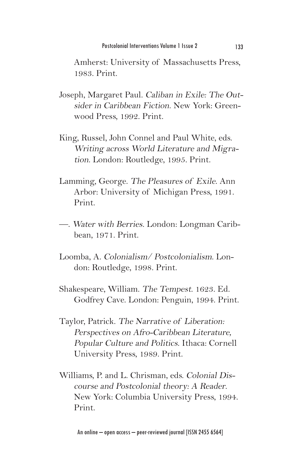Amherst: University of Massachusetts Press, 1983. Print.

- Joseph, Margaret Paul. Caliban in Exile: The Outsider in Caribbean Fiction. New York: Greenwood Press, 1992. Print.
- King, Russel, John Connel and Paul White, eds. Writing across World Literature and Migration. London: Routledge, 1995. Print.
- Lamming, George. The Pleasures of Exile. Ann Arbor: University of Michigan Press, 1991. Print.
- —. Water with Berries. London: Longman Caribbean, 1971. Print.
- Loomba, A. Colonialism/ Postcolonialism. London: Routledge, 1998. Print.
- Shakespeare, William. The Tempest. 1623. Ed. Godfrey Cave. London: Penguin, 1994. Print.
- Taylor, Patrick. The Narrative of Liberation: Perspectives on Afro-Caribbean Literature, Popular Culture and Politics. Ithaca: Cornell University Press, 1989. Print.
- Williams, P. and L. Chrisman, eds. Colonial Discourse and Postcolonial theory: A Reader. New York: Columbia University Press, 1994. Print.